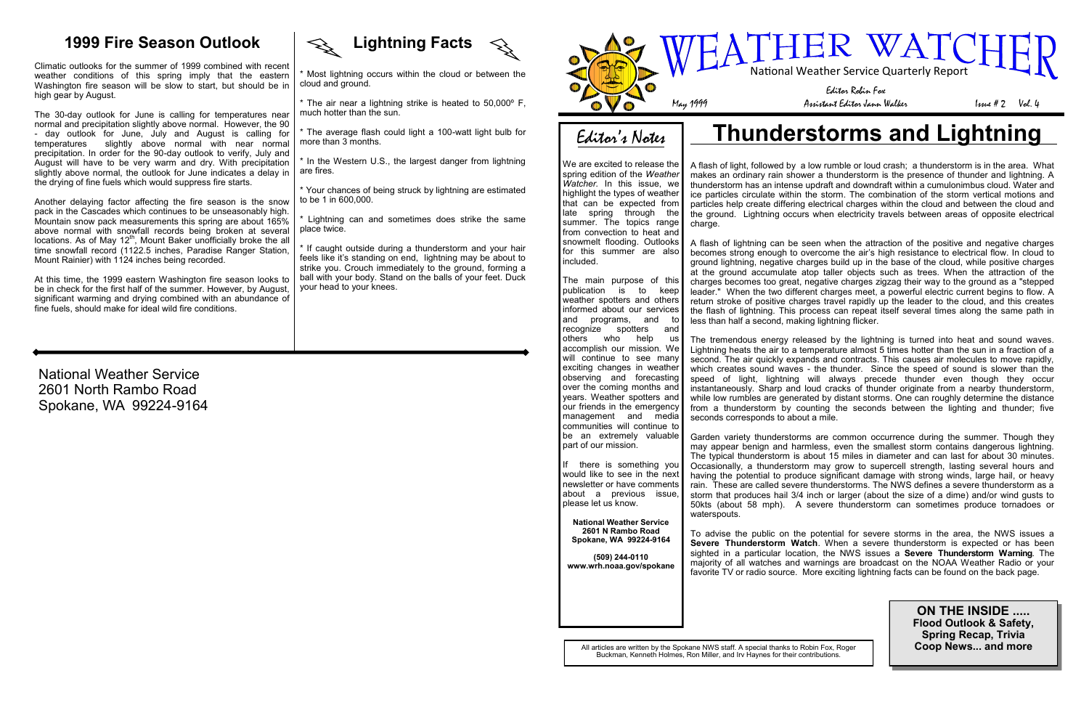National Weather Service 2601 North Rambo Road Spokane, WA 99224-9164

### **1999 Fire Season Outlook**

Climatic outlooks for the summer of 1999 combined with recent weather conditions of this spring imply that the eastern Washington fire season will be slow to start, but should be in high gear by August.

The 30-day outlook for June is calling for temperatures near normal and precipitation slightly above normal. However, the 90 - day outlook for June, July and August is calling for temperatures slightly above normal with near normal precipitation. In order for the 90-day outlook to verify, July and August will have to be very warm and dry. With precipitation slightly above normal, the outlook for June indicates a delay in the drying of fine fuels which would suppress fire starts.

We are excited to release the spring edition of the *Weather Watcher.* In this issue, we highlight the types of weather that can be expected from late spring through the summer. The topics range from convection to heat and snowmelt flooding. Outlooks for this summer are also included.

Another delaying factor affecting the fire season is the snow pack in the Cascades which continues to be unseasonably high. Mountain snow pack measurements this spring are about 165% above normal with snowfall records being broken at several locations. As of May 12<sup>th</sup>, Mount Baker unofficially broke the all time snowfall record (1122.5 inches, Paradise Ranger Station, Mount Rainier) with 1124 inches being recorded.

A flash of light, followed by a low rumble or loud crash; a thunderstorm is in the area. What makes an ordinary rain shower a thunderstorm is the presence of thunder and lightning. A thunderstorm has an intense updraft and downdraft within a cumulonimbus cloud. Water and ice particles circulate within the storm. The combination of the storm vertical motions and particles help create differing electrical charges within the cloud and between the cloud and the ground. Lightning occurs when electricity travels between areas of opposite electrical charge.

At this time, the 1999 eastern Washington fire season looks to be in check for the first half of the summer. However, by August, significant warming and drying combined with an abundance of fine fuels, should make for ideal wild fire conditions.

## Editor's Notes

The main purpose of this publication is to keep weather spotters and others informed about our services and programs, and to recognize spotters and others who help us accomplish our mission. We will continue to see many exciting changes in weather observing and forecasting over the coming months and years. Weather spotters and our friends in the emergency management and media communities will continue to be an extremely valuable part of our mission.

If there is something you would like to see in the next newsletter or have comments about a previous issue, please let us know.

**National Weather Service 2601 N Rambo Road Spokane, WA 99224-9164**

**(509) 244-0110 www.wrh.noaa.gov/spokane**

# **Thunderstorms and Lightning**

Lightning can and sometimes does strike the same place twice.

> A flash of lightning can be seen when the attraction of the positive and negative charges becomes strong enough to overcome the air's high resistance to electrical flow. In cloud to ground lightning, negative charges build up in the base of the cloud, while positive charges at the ground accumulate atop taller objects such as trees. When the attraction of the charges becomes too great, negative charges zigzag their way to the ground as a "stepped leader." When the two different charges meet, a powerful electric current begins to flow. A return stroke of positive charges travel rapidly up the leader to the cloud, and this creates the flash of lightning. This process can repeat itself several times along the same path in less than half a second, making lightning flicker.



The tremendous energy released by the lightning is turned into heat and sound waves. Lightning heats the air to a temperature almost 5 times hotter than the sun in a fraction of a second. The air quickly expands and contracts. This causes air molecules to move rapidly, which creates sound waves - the thunder. Since the speed of sound is slower than the speed of light, lightning will always precede thunder even though they occur instantaneously. Sharp and loud cracks of thunder originate from a nearby thunderstorm, while low rumbles are generated by distant storms. One can roughly determine the distance from a thunderstorm by counting the seconds between the lighting and thunder; five seconds corresponds to about a mile.

Garden variety thunderstorms are common occurrence during the summer. Though they may appear benign and harmless, even the smallest storm contains dangerous lightning. The typical thunderstorm is about 15 miles in diameter and can last for about 30 minutes. Occasionally, a thunderstorm may grow to supercell strength, lasting several hours and having the potential to produce significant damage with strong winds, large hail, or heavy rain. These are called severe thunderstorms. The NWS defines a severe thunderstorm as a storm that produces hail 3/4 inch or larger (about the size of a dime) and/or wind gusts to 50kts (about 58 mph). A severe thunderstorm can sometimes produce tornadoes or waterspouts.

To advise the public on the potential for severe storms in the area, the NWS issues a **Severe Thunderstorm Watch**. When a severe thunderstorm is expected or has been sighted in a particular location, the NWS issues a **Severe Thunderstorm Warning**. The majority of all watches and warnings are broadcast on the NOAA Weather Radio or your favorite TV or radio source. More exciting lightning facts can be found on the back page.

> **ON THE INSIDE ..... Flood Outlook & Safety, Spring Recap, Trivia Coop News... and more**



\* Most lightning occurs within the cloud or between the cloud and ground.

\* The air near a lightning strike is heated to 50,000º F, much hotter than the sun.

\* The average flash could light a 100-watt light bulb for more than 3 months.

\* In the Western U.S., the largest danger from lightning are fires.

\* Your chances of being struck by lightning are estimated to be 1 in 600,000.

\* If caught outside during a thunderstorm and your hair feels like it's standing on end, lightning may be about to strike you. Crouch immediately to the ground, forming a ball with your body. Stand on the balls of your feet. Duck your head to your knees.

> All articles are written by the Spokane NWS staff. A special thanks to Robin Fox, Roger Buckman, Kenneth Holmes, Ron Miller, and Irv Haynes for their contributions.